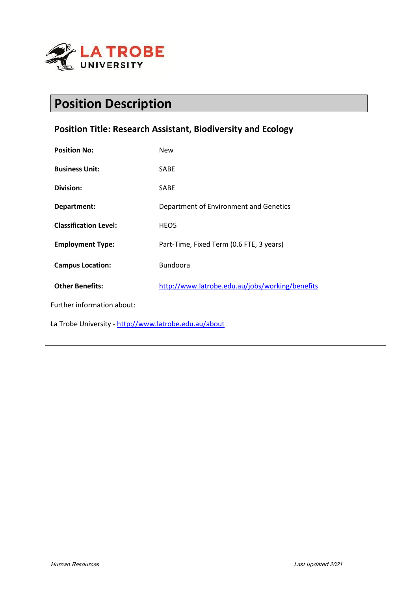

# **Position Description**

# **Position Title: Research Assistant, Biodiversity and Ecology**

| <b>Position No:</b>                                   | <b>New</b>                                      |
|-------------------------------------------------------|-------------------------------------------------|
| <b>Business Unit:</b>                                 | <b>SABE</b>                                     |
| <b>Division:</b>                                      | <b>SABE</b>                                     |
| Department:                                           | Department of Environment and Genetics          |
| <b>Classification Level:</b>                          | HEO5                                            |
| <b>Employment Type:</b>                               | Part-Time, Fixed Term (0.6 FTE, 3 years)        |
| <b>Campus Location:</b>                               | <b>Bundoora</b>                                 |
| <b>Other Benefits:</b>                                | http://www.latrobe.edu.au/jobs/working/benefits |
| Further information about:                            |                                                 |
| La Trobe University - http://www.latrobe.edu.au/about |                                                 |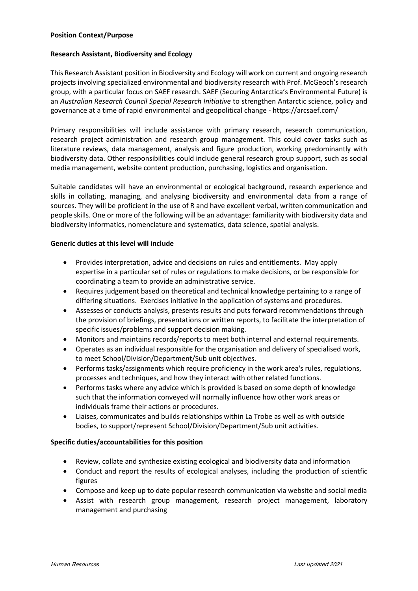## **Position Context/Purpose**

# **Research Assistant, Biodiversity and Ecology**

This Research Assistant position in Biodiversity and Ecology will work on current and ongoing research projects involving specialized environmental and biodiversity research with Prof. McGeoch's research group, with a particular focus on SAEF research. SAEF (Securing Antarctica's Environmental Future) is an *Australian Research Council Special Research Initiative* to strengthen Antarctic science, policy and governance at a time of rapid environmental and geopolitical change - <https://arcsaef.com/>

Primary responsibilities will include assistance with primary research, research communication, research project administration and research group management. This could cover tasks such as literature reviews, data management, analysis and figure production, working predominantly with biodiversity data. Other responsibilities could include general research group support, such as social media management, website content production, purchasing, logistics and organisation.

Suitable candidates will have an environmental or ecological background, research experience and skills in collating, managing, and analysing biodiversity and environmental data from a range of sources. They will be proficient in the use of R and have excellent verbal, written communication and people skills. One or more of the following will be an advantage: familiarity with biodiversity data and biodiversity informatics, nomenclature and systematics, data science, spatial analysis.

#### **Generic duties at this level will include**

- Provides interpretation, advice and decisions on rules and entitlements. May apply expertise in a particular set of rules or regulations to make decisions, or be responsible for coordinating a team to provide an administrative service.
- Requires judgement based on theoretical and technical knowledge pertaining to a range of differing situations. Exercises initiative in the application of systems and procedures.
- Assesses or conducts analysis, presents results and puts forward recommendations through the provision of briefings, presentations or written reports, to facilitate the interpretation of specific issues/problems and support decision making.
- Monitors and maintains records/reports to meet both internal and external requirements.
- Operates as an individual responsible for the organisation and delivery of specialised work, to meet School/Division/Department/Sub unit objectives.
- Performs tasks/assignments which require proficiency in the work area's rules, regulations, processes and techniques, and how they interact with other related functions.
- Performs tasks where any advice which is provided is based on some depth of knowledge such that the information conveyed will normally influence how other work areas or individuals frame their actions or procedures.
- Liaises, communicates and builds relationships within La Trobe as well as with outside bodies, to support/represent School/Division/Department/Sub unit activities.

# **Specific duties/accountabilities for this position**

- Review, collate and synthesize existing ecological and biodiversity data and information
- Conduct and report the results of ecological analyses, including the production of scientfic figures
- Compose and keep up to date popular research communication via website and social media
- Assist with research group management, research project management, laboratory management and purchasing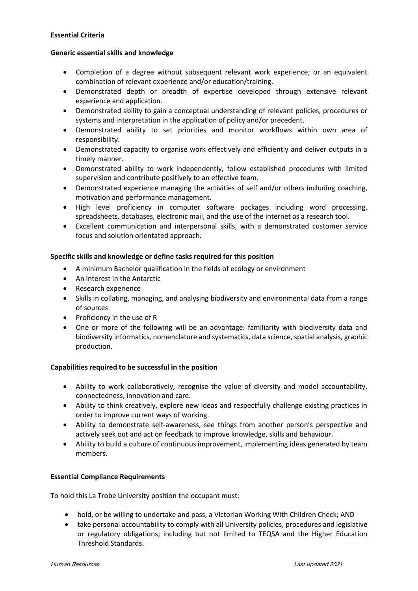# **Essential Criteria**

# **Generic essential skills and knowledge**

- Completion of a degree without subsequent relevant work experience; or an equivalent combination of relevant experience and/or education/training.
- Demonstrated depth or breadth of expertise developed through extensive relevant experience and application.
- Demonstrated ability to gain a conceptual understanding of relevant policies, procedures or systems and interpretation in the application of policy and/or precedent.
- Demonstrated ability to set priorities and monitor workflows within own area of responsibility.
- Demonstrated capacity to organise work effectively and efficiently and deliver outputs in a timely manner.
- Demonstrated ability to work independently, follow established procedures with limited supervision and contribute positively to an effective team.
- Demonstrated experience managing the activities of self and/or others including coaching, motivation and performance management.
- High level proficiency in computer software packages including word processing, spreadsheets, databases, electronic mail, and the use of the internet as a research tool.
- Excellent communication and interpersonal skills, with a demonstrated customer service focus and solution orientated approach.

# **Specific skills and knowledge or define tasks required for this position**

- A minimum Bachelor qualification in the fields of ecology or environment
- An interest in the Antarctic
- Research experience
- Skills in collating, managing, and analysing biodiversity and environmental data from a range of sources
- Proficiency in the use of R
- One or more of the following will be an advantage: familiarity with biodiversity data and biodiversity informatics, nomenclature and systematics, data science, spatial analysis, graphic production.

# **Capabilities required to be successful in the position**

- Ability to work collaboratively, recognise the value of diversity and model accountability, connectedness, innovation and care.
- Ability to think creatively, explore new ideas and respectfully challenge existing practices in order to improve current ways of working.
- Ability to demonstrate self-awareness, see things from another person's perspective and actively seek out and act on feedback to improve knowledge, skills and behaviour.
- Ability to build a culture of continuous improvement, implementing ideas generated by team members.

# **Essential Compliance Requirements**

To hold this La Trobe University position the occupant must:

- hold, or be willing to undertake and pass, a Victorian Working With Children Check; AND
- take personal accountability to comply with all University policies, procedures and legislative or regulatory obligations; including but not limited to TEQSA and the Higher Education Threshold Standards.